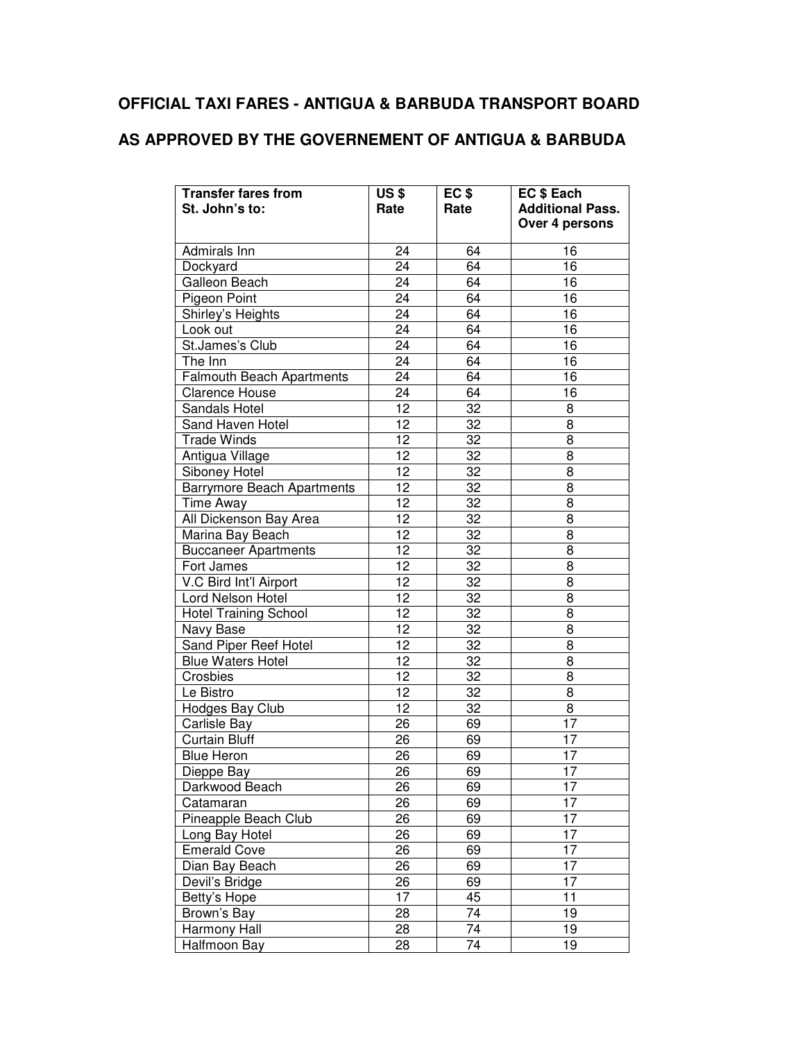## **OFFICIAL TAXI FARES - ANTIGUA & BARBUDA TRANSPORT BOARD**

## **AS APPROVED BY THE GOVERNEMENT OF ANTIGUA & BARBUDA**

| <b>Transfer fares from</b><br>St. John's to: | <b>US\$</b><br>Rate | EC <sub>\$</sub><br>Rate | EC \$ Each<br><b>Additional Pass.</b> |
|----------------------------------------------|---------------------|--------------------------|---------------------------------------|
|                                              |                     |                          | Over 4 persons                        |
| Admirals Inn                                 | 24                  | 64                       | 16                                    |
| Dockyard                                     | 24                  | 64                       | 16                                    |
| Galleon Beach                                | 24                  | 64                       | 16                                    |
| Pigeon Point                                 | 24                  | 64                       | 16                                    |
| Shirley's Heights                            | 24                  | 64                       | 16                                    |
| Look out                                     | 24                  | 64                       | 16                                    |
| St.James's Club                              | 24                  | 64                       | 16                                    |
| The Inn                                      | 24                  | 64                       | 16                                    |
| <b>Falmouth Beach Apartments</b>             | 24                  | 64                       | 16                                    |
| <b>Clarence House</b>                        | 24                  | 64                       | 16                                    |
| Sandals Hotel                                | 12                  | 32                       | 8                                     |
| Sand Haven Hotel                             | 12                  | 32                       | 8                                     |
| <b>Trade Winds</b>                           | 12                  | 32                       | 8                                     |
| Antigua Village                              | 12                  | 32                       | 8                                     |
| Siboney Hotel                                | 12                  | 32                       | 8                                     |
| <b>Barrymore Beach Apartments</b>            | 12                  | 32                       | 8                                     |
| Time Away                                    | 12                  | 32                       | 8                                     |
| All Dickenson Bay Area                       | 12                  | 32                       | 8                                     |
| Marina Bay Beach                             | 12                  | 32                       | 8                                     |
| <b>Buccaneer Apartments</b>                  | 12                  | 32                       | 8                                     |
| Fort James                                   | 12                  | 32                       | 8                                     |
| V.C Bird Int'l Airport                       | 12                  | 32                       | 8                                     |
| Lord Nelson Hotel                            | 12                  | 32                       | 8                                     |
| <b>Hotel Training School</b>                 | 12                  | 32                       | 8                                     |
| Navy Base                                    | 12                  | 32                       | 8                                     |
| Sand Piper Reef Hotel                        | 12                  | 32                       | 8                                     |
| <b>Blue Waters Hotel</b>                     | 12                  | 32                       | 8                                     |
| Crosbies                                     | 12                  | 32                       | 8                                     |
| Le Bistro                                    | 12                  | 32                       | 8                                     |
| Hodges Bay Club                              | 12                  | 32                       | 8                                     |
| Carlisle Bay                                 | 26                  | 69                       | 17                                    |
| <b>Curtain Bluff</b>                         | 26                  | 69                       | 17                                    |
| <b>Blue Heron</b>                            | 26                  | 69                       | 17                                    |
| Dieppe Bay                                   | 26                  | 69                       | 17                                    |
| Darkwood Beach                               | 26                  | 69                       | 17                                    |
| Catamaran                                    | 26                  | 69                       | 17                                    |
| Pineapple Beach Club                         | 26                  | 69                       | 17                                    |
| Long Bay Hotel                               | 26                  | 69                       | 17                                    |
| <b>Emerald Cove</b>                          | 26                  | 69                       | 17                                    |
| Dian Bay Beach                               | 26                  | 69                       | 17                                    |
| Devil's Bridge                               | 26                  | 69                       | 17                                    |
| Betty's Hope                                 | 17                  | 45                       | 11                                    |
| Brown's Bay                                  | 28                  | 74                       | 19                                    |
| Harmony Hall                                 | 28                  | 74                       | 19                                    |
| Halfmoon Bay                                 | 28                  | 74                       | 19                                    |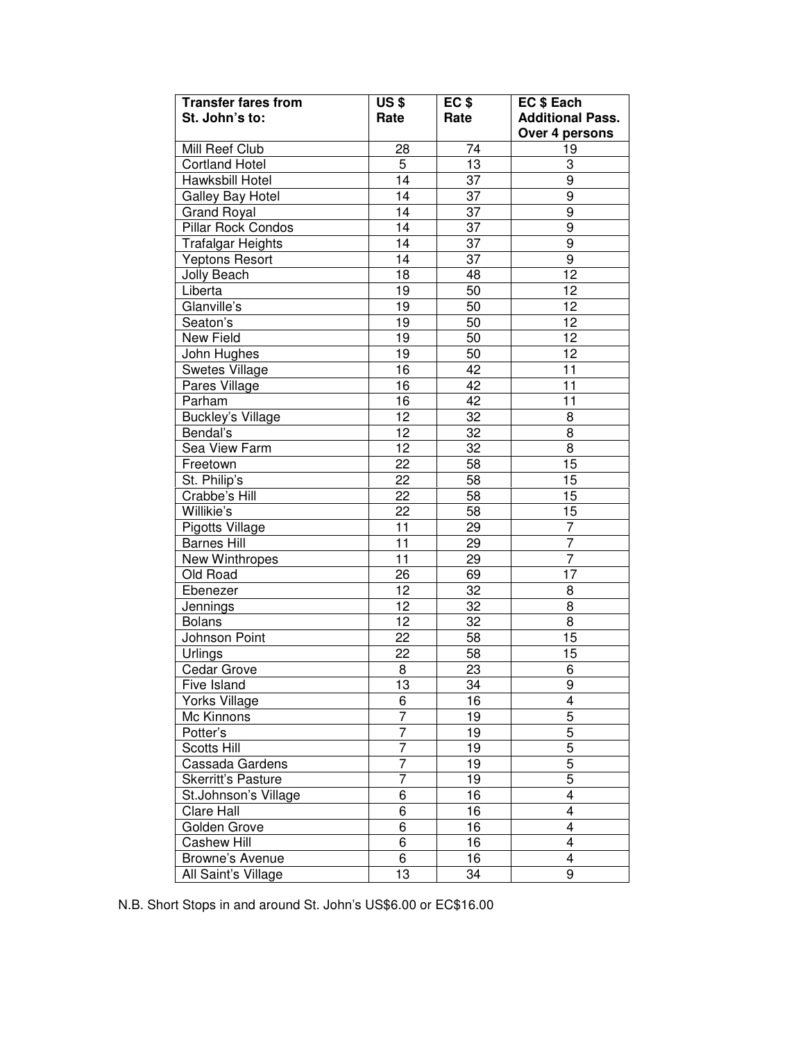| <b>Transfer fares from</b> | <b>US\$</b>     | $EC$ \$         | EC \$ Each              |  |
|----------------------------|-----------------|-----------------|-------------------------|--|
| St. John's to:             | Rate            | Rate            | <b>Additional Pass.</b> |  |
|                            |                 |                 | Over 4 persons          |  |
| Mill Reef Club             | 28              | 74              | 19                      |  |
| <b>Cortland Hotel</b>      | $\overline{5}$  | 13              | 3                       |  |
| Hawksbill Hotel            | $\overline{14}$ | 37              | $\overline{9}$          |  |
| Galley Bay Hotel           | 14              | 37              | 9                       |  |
| <b>Grand Royal</b>         | $\overline{14}$ | 37              | 9                       |  |
| <b>Pillar Rock Condos</b>  | $\overline{14}$ | 37              | 9                       |  |
| <b>Trafalgar Heights</b>   | $\overline{14}$ | 37              | $\overline{9}$          |  |
| Yeptons Resort             | $\overline{14}$ | 37              | $\overline{9}$          |  |
| <b>Jolly Beach</b>         | 18              | 48              | $\overline{12}$         |  |
| Liberta                    | 19              | 50              | 12                      |  |
| Glanville's                | 19              | 50              | 12                      |  |
| Seaton's                   | 19              | 50              | 12                      |  |
| New Field                  | 19              | 50              | 12                      |  |
| John Hughes                | 19              | 50              | $\overline{12}$         |  |
| Swetes Village             | $\overline{16}$ | 42              | 11                      |  |
| Pares Village              | $\overline{16}$ | 42              | 11                      |  |
| Parham                     | $\overline{16}$ | 42              | 11                      |  |
| <b>Buckley's Village</b>   | 12              | $\overline{32}$ | 8                       |  |
| Bendal's                   | $\overline{12}$ | 32              | 8                       |  |
| Sea View Farm              | $\overline{12}$ | $\overline{32}$ | $\overline{8}$          |  |
| Freetown                   | 22              | $\overline{58}$ | 15                      |  |
| St. Philip's               | $\overline{22}$ | $\overline{58}$ | 15                      |  |
| Crabbe's Hill              | $\overline{22}$ | $\overline{58}$ | 15                      |  |
| Willikie's                 | $\overline{22}$ | $\overline{58}$ | $\overline{15}$         |  |
| Pigotts Village            | $\overline{11}$ | 29              | 7                       |  |
| <b>Barnes Hill</b>         | 11              | 29              | 7                       |  |
| New Winthropes             | 11              | 29              | 7                       |  |
| Old Road                   | 26              | 69              | 17                      |  |
| Ebenezer                   | 12              | $\overline{32}$ | 8                       |  |
| Jennings                   | 12              | 32              | 8                       |  |
| <b>Bolans</b>              | $\overline{12}$ | 32              | $\overline{8}$          |  |
| Johnson Point              | 22              | $\overline{58}$ | 15                      |  |
| Urlings                    | 22              | $\overline{58}$ | 15                      |  |
| <b>Cedar Grove</b>         | $\overline{8}$  | 23              | 6                       |  |
| Five Island                | $\overline{13}$ | $\overline{34}$ | 9                       |  |
| <b>Yorks Village</b>       | $\overline{6}$  | 16              | 4                       |  |
| Mc Kinnons                 | 7               | 19              | 5                       |  |
| Potter's                   | $\overline{7}$  | $\overline{19}$ | $\overline{5}$          |  |
| Scotts Hill                | $\overline{7}$  | $\overline{19}$ | $\overline{5}$          |  |
| Cassada Gardens            | $\overline{7}$  | 19              | $\overline{5}$          |  |
| Skerritt's Pasture         | $\overline{7}$  | 19              | $\overline{5}$          |  |
| St.Johnson's Village       | $\overline{6}$  | $\overline{16}$ | 4                       |  |
| Clare Hall                 | $\overline{6}$  | 16              | 4                       |  |
| Golden Grove               | $\overline{6}$  | 16              | 4                       |  |
| <b>Cashew Hill</b>         | $\overline{6}$  | 16              | 4                       |  |
| Browne's Avenue            | $\overline{6}$  | 16              | 4                       |  |
| All Saint's Village        | $\overline{13}$ | 34              | 9                       |  |

N.B. Short Stops in and around St. John's US\$6.00 or EC\$16.00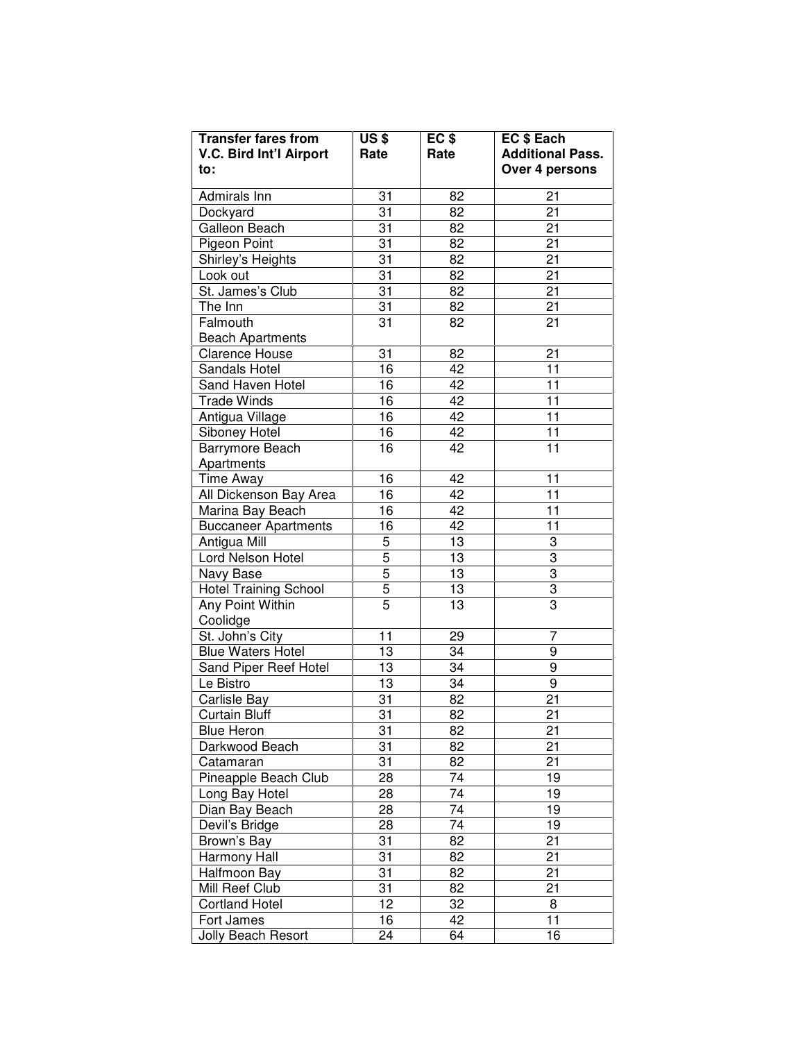| <b>Transfer fares from</b>     | $\overline{US}$ \$ | EC <sub>\$</sub> | EC \$ Each              |
|--------------------------------|--------------------|------------------|-------------------------|
| <b>V.C. Bird Int'l Airport</b> | Rate               | Rate             | <b>Additional Pass.</b> |
| to:                            |                    |                  | Over 4 persons          |
| Admirals Inn                   | 31                 | 82               | 21                      |
| Dockyard                       | 31                 | 82               | 21                      |
| Galleon Beach                  | 31                 | 82               | 21                      |
| Pigeon Point                   | 31                 | 82               | 21                      |
| Shirley's Heights              | 31                 | 82               | 21                      |
| Look out                       | 31                 | 82               | 21                      |
| St. James's Club               | 31                 | 82               | 21                      |
| The Inn                        | 31                 | 82               | 21                      |
| Falmouth                       | 31                 | 82               | 21                      |
| <b>Beach Apartments</b>        |                    |                  |                         |
| Clarence House                 | 31                 | 82               | 21                      |
| Sandals Hotel                  | 16                 | 42               | 11                      |
| Sand Haven Hotel               | 16                 | 42               | 11                      |
| <b>Trade Winds</b>             | 16                 | 42               | 11                      |
| Antigua Village                | 16                 | 42               | 11                      |
| Siboney Hotel                  | 16                 | 42               | 11                      |
| Barrymore Beach                | 16                 | 42               | 11                      |
| Apartments                     |                    |                  |                         |
| <b>Time Away</b>               | 16                 | 42               | 11                      |
| All Dickenson Bay Area         | 16                 | 42               | 11                      |
| Marina Bay Beach               | 16                 | 42               | 11                      |
| <b>Buccaneer Apartments</b>    | 16                 | 42               | 11                      |
| Antigua Mill                   | 5                  | 13               | 3                       |
| Lord Nelson Hotel              | 5                  | 13               | $\overline{3}$          |
| Navy Base                      | 5                  | 13               | $\overline{3}$          |
| <b>Hotel Training School</b>   | 5                  | 13               | $\frac{3}{3}$           |
| Any Point Within               | 5                  | 13               |                         |
| Coolidge                       |                    |                  |                         |
| St. John's City                | 11                 | 29               | 7                       |
| <b>Blue Waters Hotel</b>       | 13                 | 34               | 9                       |
| Sand Piper Reef Hotel          | 13                 | 34               | 9                       |
| Le Bistro                      | 13                 | 34               | 9                       |
| Carlisle Bay                   | 31                 | 82               | 21                      |
| Curtain Bluff                  | 31                 | 82               | 21                      |
| <b>Blue Heron</b>              | 31                 | 82               | 21                      |
| Darkwood Beach                 | 31                 | 82               | 21                      |
| Catamaran                      | 31                 | 82               | 21                      |
| Pineapple Beach Club           | 28                 | 74               | 19                      |
| Long Bay Hotel                 | 28                 | 74               | 19                      |
| Dian Bay Beach                 | 28                 | 74               | 19                      |
| Devil's Bridge                 | 28                 | 74               | 19                      |
| Brown's Bay                    | 31                 | 82               | 21                      |
| Harmony Hall                   | 31                 | 82               | 21                      |
| Halfmoon Bay                   | 31                 | 82               | 21                      |
| Mill Reef Club                 | 31                 | 82               | 21                      |
| <b>Cortland Hotel</b>          | 12                 | 32               | 8                       |
| Fort James                     | 16                 | 42               | 11                      |
| Jolly Beach Resort             | 24                 | 64               | 16                      |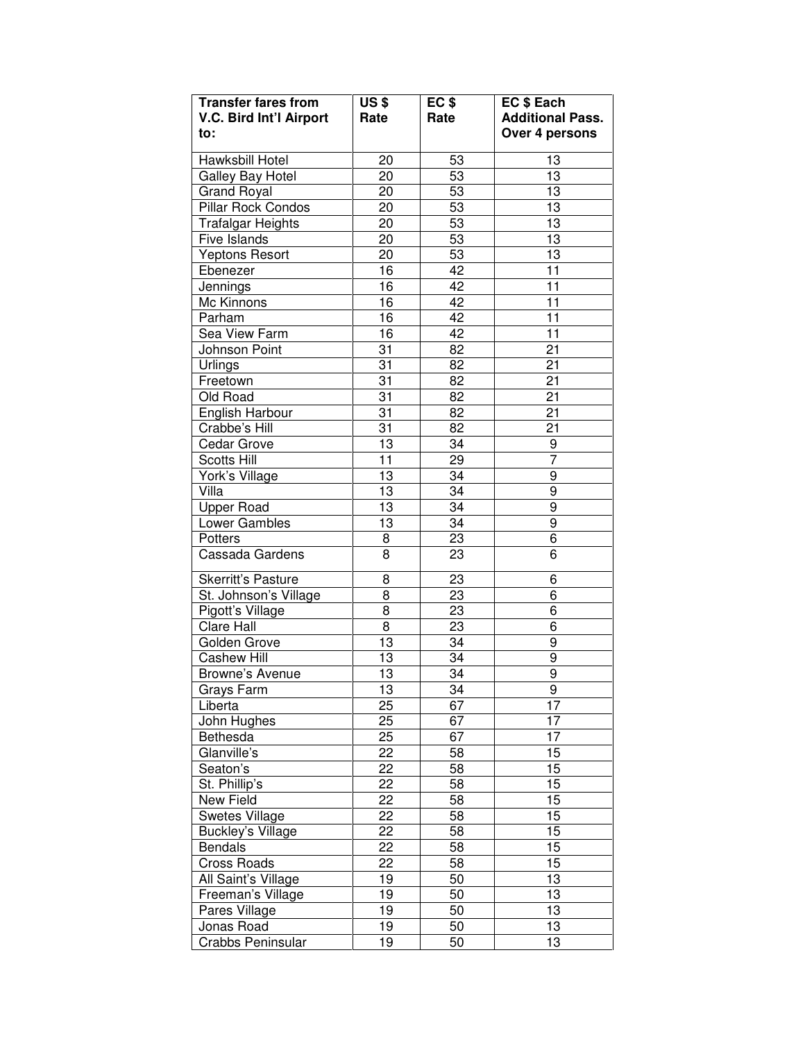| <b>Transfer fares from</b> | <b>US\$</b> | EC <sub>\$</sub> | EC \$ Each              |
|----------------------------|-------------|------------------|-------------------------|
| V.C. Bird Int'l Airport    | Rate        | Rate             | <b>Additional Pass.</b> |
| to:                        |             |                  | Over 4 persons          |
| Hawksbill Hotel            | 20          | 53               | 13                      |
| Galley Bay Hotel           | 20          | 53               | 13                      |
| <b>Grand Royal</b>         | 20          | 53               | 13                      |
| Pillar Rock Condos         | 20          | 53               | 13                      |
| <b>Trafalgar Heights</b>   | 20          | $5\overline{3}$  | 13                      |
| Five Islands               | 20          | 53               | 13                      |
| <b>Yeptons Resort</b>      | 20          | 53               | 13                      |
| Ebenezer                   | 16          | 42               | 11                      |
| Jennings                   | 16          | 42               | 11                      |
| Mc Kinnons                 | 16          | 42               | 11                      |
| Parham                     | 16          | 42               | 11                      |
| Sea View Farm              | 16          | 42               | 11                      |
| Johnson Point              | 31          | 82               | 21                      |
| Urlings                    | 31          | 82               | 21                      |
| Freetown                   | 31          | 82               | 21                      |
| Old Road                   | 31          | 82               | 21                      |
| English Harbour            | 31          | 82               | $\overline{21}$         |
| Crabbe's Hill              | 31          | 82               | 21                      |
| Cedar Grove                | 13          | 34               | 9                       |
| <b>Scotts Hill</b>         | 11          | 29               | 7                       |
| York's Village             | 13          | 34               | 9                       |
| Villa                      | 13          | 34               | 9                       |
| <b>Upper Road</b>          | 13          | 34               | 9                       |
| Lower Gambles              | 13          | 34               | 9                       |
| <b>Potters</b>             | 8           | 23               | 6                       |
| Cassada Gardens            | 8           | 23               | 6                       |
| Skerritt's Pasture         | 8           | 23               | 6                       |
| St. Johnson's Village      | 8           | 23               | 6                       |
| Pigott's Village           | 8           | 23               | 6                       |
| Clare Hall                 | 8           | 23               | 6                       |
| Golden Grove               | 13          | 34               | 9                       |
| <b>Cashew Hill</b>         | 13          | 34               | 9                       |
| Browne's Avenue            | 13          | 34               | 9                       |
| Grays Farm                 | 13          | 34               | 9                       |
| Liberta                    | 25          | 67               | 17                      |
| John Hughes                | 25          | 67               | 17                      |
| Bethesda                   | 25          | 67               | 17                      |
| Glanville's                | 22          | 58               | 15                      |
| Seaton's                   | 22          | 58               | 15                      |
| St. Phillip's              | 22          | 58               | 15                      |
| New Field                  | 22          | 58               | 15                      |
| <b>Swetes Village</b>      | 22          | 58               | 15                      |
| <b>Buckley's Village</b>   | 22          | 58               | 15                      |
| <b>Bendals</b>             | 22          | 58               | 15                      |
| <b>Cross Roads</b>         | 22          | 58               | 15                      |
| All Saint's Village        | 19          | 50               | 13                      |
| Freeman's Village          | 19          | 50               | 13                      |
| Pares Village              | 19          | 50               | 13                      |
| Jonas Road                 | 19          | 50               | 13                      |
| Crabbs Peninsular          | 19          | 50               | 13                      |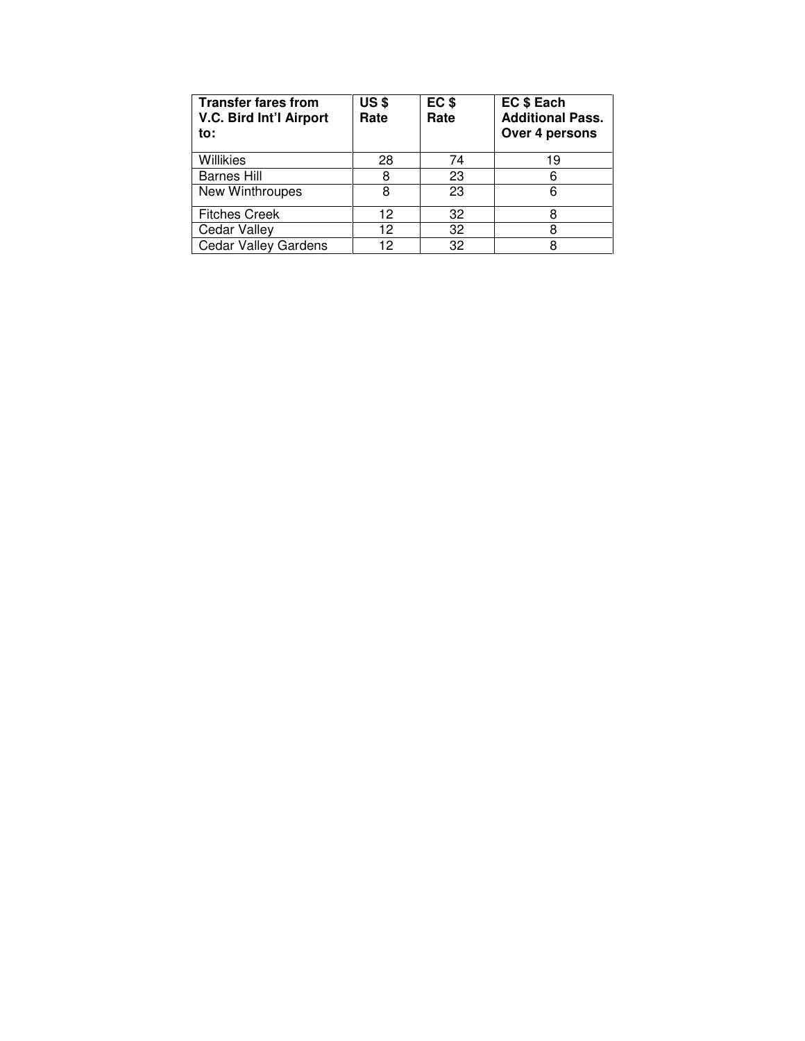| <b>Transfer fares from</b><br>V.C. Bird Int'l Airport<br>to: | <b>US\$</b><br>Rate | EC <sub>\$</sub><br>Rate | <b>EC \$ Each</b><br><b>Additional Pass.</b><br>Over 4 persons |
|--------------------------------------------------------------|---------------------|--------------------------|----------------------------------------------------------------|
| Willikies                                                    | 28                  | 74                       | 19                                                             |
| <b>Barnes Hill</b>                                           | 8                   | 23                       | 6                                                              |
| <b>New Winthroupes</b>                                       | 8                   | 23                       | 6                                                              |
| <b>Fitches Creek</b>                                         | 12                  | 32                       | 8                                                              |
| Cedar Valley                                                 | 12                  | 32                       | 8                                                              |
| <b>Cedar Valley Gardens</b>                                  | 12                  | 32                       | 8                                                              |